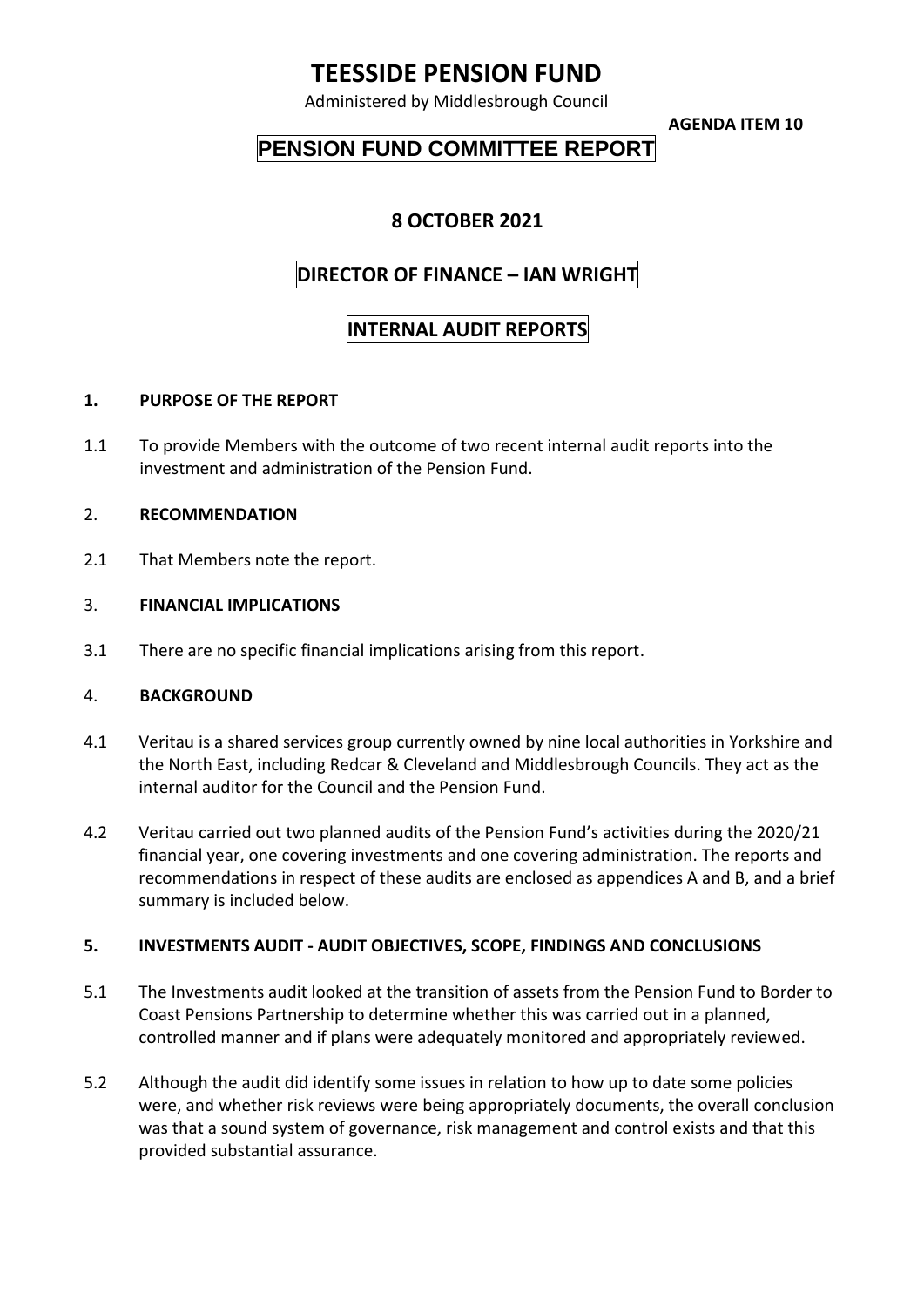# **TEESSIDE PENSION FUND**

Administered by Middlesbrough Council

**AGENDA ITEM 10**

## **PENSION FUND COMMITTEE REPORT**

### **8 OCTOBER 2021**

### **DIRECTOR OF FINANCE – IAN WRIGHT**

### **INTERNAL AUDIT REPORTS**

#### **1. PURPOSE OF THE REPORT**

1.1 To provide Members with the outcome of two recent internal audit reports into the investment and administration of the Pension Fund.

#### 2. **RECOMMENDATION**

2.1 That Members note the report.

#### 3. **FINANCIAL IMPLICATIONS**

3.1 There are no specific financial implications arising from this report.

#### 4. **BACKGROUND**

- 4.1 Veritau is a shared services group currently owned by nine local authorities in Yorkshire and the North East, including Redcar & Cleveland and Middlesbrough Councils. They act as the internal auditor for the Council and the Pension Fund.
- 4.2 Veritau carried out two planned audits of the Pension Fund's activities during the 2020/21 financial year, one covering investments and one covering administration. The reports and recommendations in respect of these audits are enclosed as appendices A and B, and a brief summary is included below.

#### **5. INVESTMENTS AUDIT - AUDIT OBJECTIVES, SCOPE, FINDINGS AND CONCLUSIONS**

- 5.1 The Investments audit looked at the transition of assets from the Pension Fund to Border to Coast Pensions Partnership to determine whether this was carried out in a planned, controlled manner and if plans were adequately monitored and appropriately reviewed.
- 5.2 Although the audit did identify some issues in relation to how up to date some policies were, and whether risk reviews were being appropriately documents, the overall conclusion was that a sound system of governance, risk management and control exists and that this provided substantial assurance.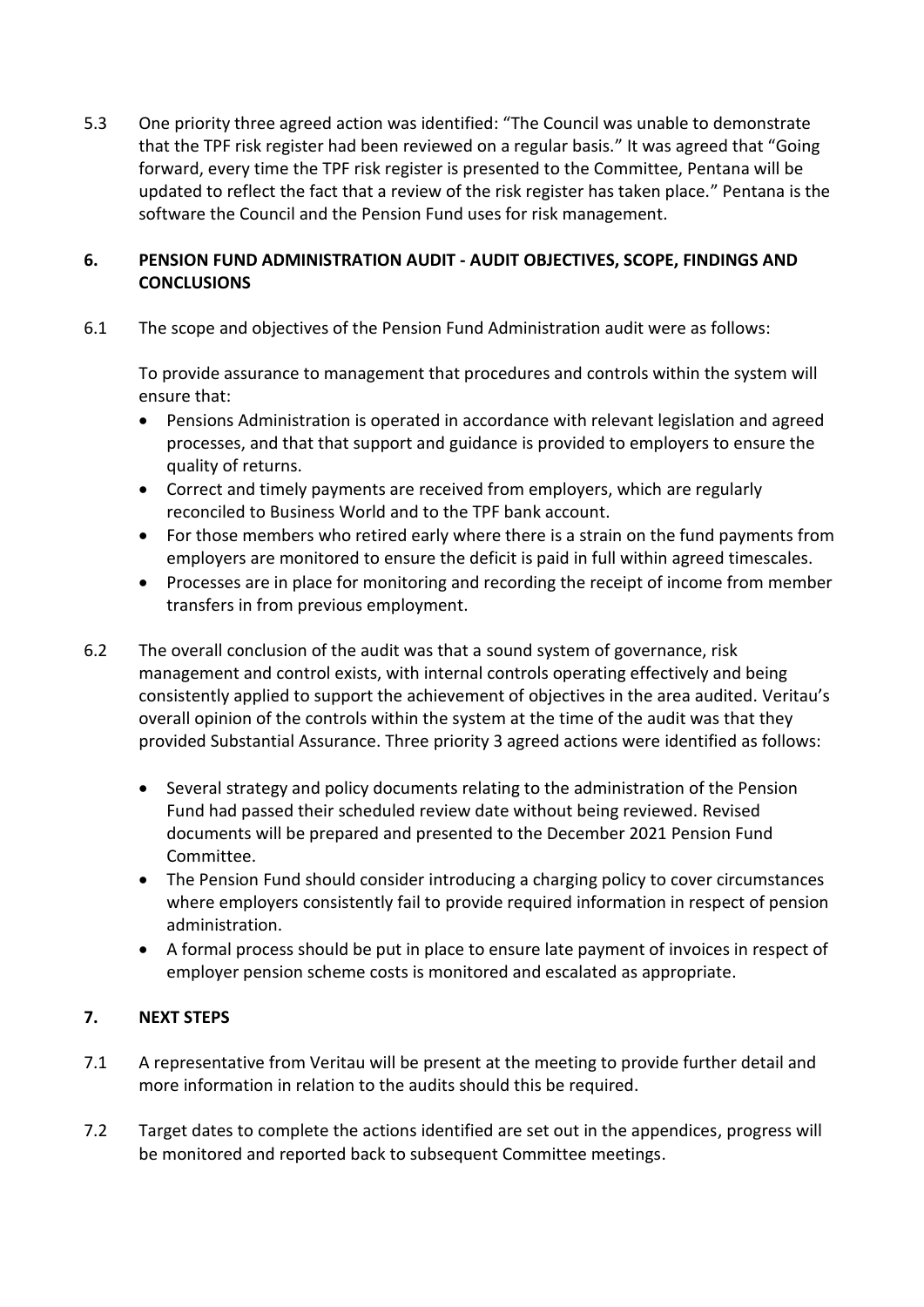5.3 One priority three agreed action was identified: "The Council was unable to demonstrate that the TPF risk register had been reviewed on a regular basis." It was agreed that "Going forward, every time the TPF risk register is presented to the Committee, Pentana will be updated to reflect the fact that a review of the risk register has taken place." Pentana is the software the Council and the Pension Fund uses for risk management.

#### **6. PENSION FUND ADMINISTRATION AUDIT - AUDIT OBJECTIVES, SCOPE, FINDINGS AND CONCLUSIONS**

6.1 The scope and objectives of the Pension Fund Administration audit were as follows:

To provide assurance to management that procedures and controls within the system will ensure that:

- Pensions Administration is operated in accordance with relevant legislation and agreed processes, and that that support and guidance is provided to employers to ensure the quality of returns.
- Correct and timely payments are received from employers, which are regularly reconciled to Business World and to the TPF bank account.
- For those members who retired early where there is a strain on the fund payments from employers are monitored to ensure the deficit is paid in full within agreed timescales.
- Processes are in place for monitoring and recording the receipt of income from member transfers in from previous employment.
- 6.2 The overall conclusion of the audit was that a sound system of governance, risk management and control exists, with internal controls operating effectively and being consistently applied to support the achievement of objectives in the area audited. Veritau's overall opinion of the controls within the system at the time of the audit was that they provided Substantial Assurance. Three priority 3 agreed actions were identified as follows:
	- Several strategy and policy documents relating to the administration of the Pension Fund had passed their scheduled review date without being reviewed. Revised documents will be prepared and presented to the December 2021 Pension Fund Committee.
	- The Pension Fund should consider introducing a charging policy to cover circumstances where employers consistently fail to provide required information in respect of pension administration.
	- A formal process should be put in place to ensure late payment of invoices in respect of employer pension scheme costs is monitored and escalated as appropriate.

#### **7. NEXT STEPS**

- 7.1 A representative from Veritau will be present at the meeting to provide further detail and more information in relation to the audits should this be required.
- 7.2 Target dates to complete the actions identified are set out in the appendices, progress will be monitored and reported back to subsequent Committee meetings.